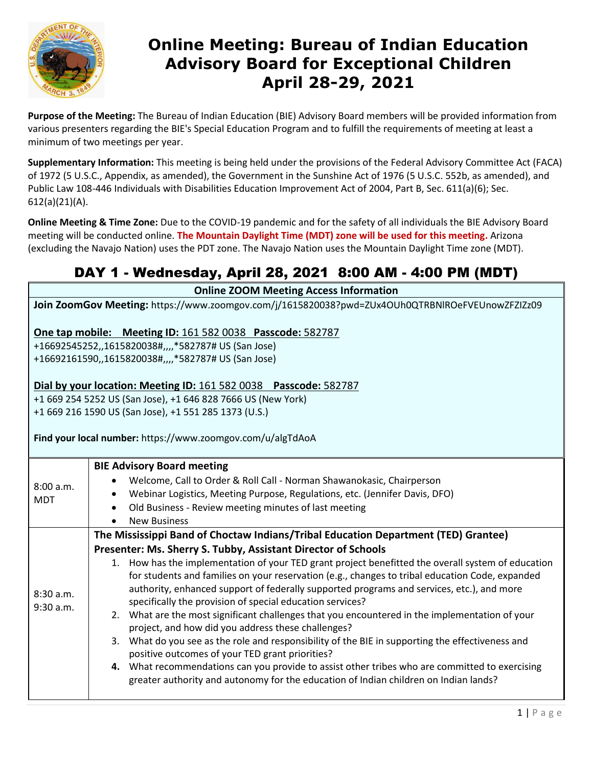

## **Online Meeting: Bureau of Indian Education Advisory Board for Exceptional Children April 28-29, 2021**

**Purpose of the Meeting:** The Bureau of Indian Education (BIE) Advisory Board members will be provided information from various presenters regarding the BIE's Special Education Program and to fulfill the requirements of meeting at least a minimum of two meetings per year.

**Supplementary Information:** This meeting is being held under the provisions of the Federal Advisory Committee Act (FACA) of 1972 (5 U.S.C., Appendix, as amended), the Government in the Sunshine Act of 1976 (5 U.S.C. 552b, as amended), and Public Law 108-446 Individuals with Disabilities Education Improvement Act of 2004, Part B, Sec. 611(a)(6); Sec. 612(a)(21)(A).

**Online Meeting & Time Zone:** Due to the COVID-19 pandemic and for the safety of all individuals the BIE Advisory Board meeting will be conducted online. **The Mountain Daylight Time (MDT) zone will be used for this meeting.** Arizona (excluding the Navajo Nation) uses the PDT zone. The Navajo Nation uses the Mountain Daylight Time zone (MDT).

#### DAY 1 - Wednesday, April 28, 2021 8:00 AM - 4:00 PM (MDT)

**Online ZOOM Meeting Access Information**

**Join ZoomGov Meeting:** https://www.zoomgov.com/j/1615820038?pwd=ZUx4OUh0QTRBNlROeFVEUnowZFZIZz09

**One tap mobile: Meeting ID:** 161 582 0038 **Passcode:** 582787

+16692545252,,1615820038#,,,,\*582787# US (San Jose) +16692161590,,1615820038#,,,,\*582787# US (San Jose)

#### **Dial by your location: Meeting ID:** 161 582 0038 **Passcode:** 582787

+1 669 254 5252 US (San Jose), +1 646 828 7666 US (New York) +1 669 216 1590 US (San Jose), +1 551 285 1373 (U.S.)

#### **Find your local number:** https://www.zoomgov.com/u/algTdAoA

| 8:00 a.m.<br><b>MDT</b> | <b>BIE Advisory Board meeting</b>                                                                   |
|-------------------------|-----------------------------------------------------------------------------------------------------|
|                         | Welcome, Call to Order & Roll Call - Norman Shawanokasic, Chairperson                               |
|                         | Webinar Logistics, Meeting Purpose, Regulations, etc. (Jennifer Davis, DFO)<br>$\bullet$            |
|                         | Old Business - Review meeting minutes of last meeting<br>$\bullet$                                  |
|                         | <b>New Business</b>                                                                                 |
|                         | The Mississippi Band of Choctaw Indians/Tribal Education Department (TED) Grantee)                  |
|                         | Presenter: Ms. Sherry S. Tubby, Assistant Director of Schools                                       |
|                         | 1. How has the implementation of your TED grant project benefitted the overall system of education  |
| 8:30 a.m.<br>9:30 a.m.  | for students and families on your reservation (e.g., changes to tribal education Code, expanded     |
|                         | authority, enhanced support of federally supported programs and services, etc.), and more           |
|                         | specifically the provision of special education services?                                           |
|                         | 2. What are the most significant challenges that you encountered in the implementation of your      |
|                         | project, and how did you address these challenges?                                                  |
|                         | What do you see as the role and responsibility of the BIE in supporting the effectiveness and<br>3. |
|                         | positive outcomes of your TED grant priorities?                                                     |
|                         | 4. What recommendations can you provide to assist other tribes who are committed to exercising      |
|                         | greater authority and autonomy for the education of Indian children on Indian lands?                |
|                         |                                                                                                     |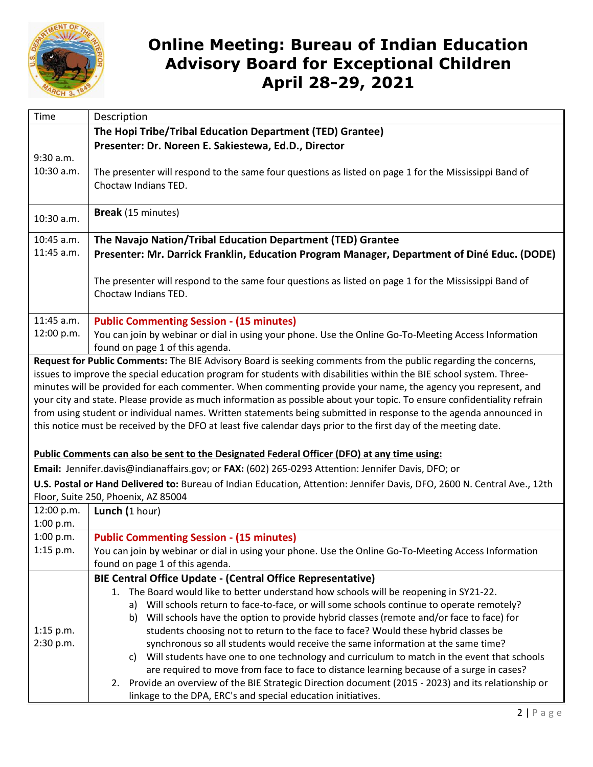

## **Online Meeting: Bureau of Indian Education Advisory Board for Exceptional Children April 28-29, 2021**

| Time        | Description                                                                                                                                                                                                                              |
|-------------|------------------------------------------------------------------------------------------------------------------------------------------------------------------------------------------------------------------------------------------|
|             | The Hopi Tribe/Tribal Education Department (TED) Grantee)                                                                                                                                                                                |
|             | Presenter: Dr. Noreen E. Sakiestewa, Ed.D., Director                                                                                                                                                                                     |
| 9:30 a.m.   |                                                                                                                                                                                                                                          |
| 10:30 a.m.  | The presenter will respond to the same four questions as listed on page 1 for the Mississippi Band of                                                                                                                                    |
|             | Choctaw Indians TED.                                                                                                                                                                                                                     |
|             |                                                                                                                                                                                                                                          |
| 10:30 a.m.  | Break (15 minutes)                                                                                                                                                                                                                       |
| 10:45 a.m.  | The Navajo Nation/Tribal Education Department (TED) Grantee                                                                                                                                                                              |
| 11:45 a.m.  | Presenter: Mr. Darrick Franklin, Education Program Manager, Department of Diné Educ. (DODE)                                                                                                                                              |
|             | The presenter will respond to the same four questions as listed on page 1 for the Mississippi Band of                                                                                                                                    |
|             | Choctaw Indians TED.                                                                                                                                                                                                                     |
|             |                                                                                                                                                                                                                                          |
| 11:45 a.m.  | <b>Public Commenting Session - (15 minutes)</b>                                                                                                                                                                                          |
| 12:00 p.m.  | You can join by webinar or dial in using your phone. Use the Online Go-To-Meeting Access Information                                                                                                                                     |
|             | found on page 1 of this agenda.                                                                                                                                                                                                          |
|             | Request for Public Comments: The BIE Advisory Board is seeking comments from the public regarding the concerns,                                                                                                                          |
|             | issues to improve the special education program for students with disabilities within the BIE school system. Three-                                                                                                                      |
|             | minutes will be provided for each commenter. When commenting provide your name, the agency you represent, and<br>your city and state. Please provide as much information as possible about your topic. To ensure confidentiality refrain |
|             | from using student or individual names. Written statements being submitted in response to the agenda announced in                                                                                                                        |
|             | this notice must be received by the DFO at least five calendar days prior to the first day of the meeting date.                                                                                                                          |
|             |                                                                                                                                                                                                                                          |
|             | Public Comments can also be sent to the Designated Federal Officer (DFO) at any time using:                                                                                                                                              |
|             | Email: Jennifer.davis@indianaffairs.gov; or FAX: (602) 265-0293 Attention: Jennifer Davis, DFO; or                                                                                                                                       |
|             | U.S. Postal or Hand Delivered to: Bureau of Indian Education, Attention: Jennifer Davis, DFO, 2600 N. Central Ave., 12th                                                                                                                 |
|             | Floor, Suite 250, Phoenix, AZ 85004                                                                                                                                                                                                      |
| 12:00 p.m.  | Lunch (1 hour)                                                                                                                                                                                                                           |
| 1:00 p.m.   |                                                                                                                                                                                                                                          |
| 1:00 p.m.   | <b>Public Commenting Session - (15 minutes)</b>                                                                                                                                                                                          |
| $1:15$ p.m. | You can join by webinar or dial in using your phone. Use the Online Go-To-Meeting Access Information                                                                                                                                     |
|             | found on page 1 of this agenda.                                                                                                                                                                                                          |
|             | <b>BIE Central Office Update - (Central Office Representative)</b>                                                                                                                                                                       |
|             | 1. The Board would like to better understand how schools will be reopening in SY21-22.                                                                                                                                                   |
|             | Will schools return to face-to-face, or will some schools continue to operate remotely?<br>a)<br>Will schools have the option to provide hybrid classes (remote and/or face to face) for                                                 |
| $1:15$ p.m. | b)<br>students choosing not to return to the face to face? Would these hybrid classes be                                                                                                                                                 |
| 2:30 p.m.   | synchronous so all students would receive the same information at the same time?                                                                                                                                                         |
|             | Will students have one to one technology and curriculum to match in the event that schools<br>C)                                                                                                                                         |
|             | are required to move from face to face to distance learning because of a surge in cases?                                                                                                                                                 |
|             | 2. Provide an overview of the BIE Strategic Direction document (2015 - 2023) and its relationship or                                                                                                                                     |
|             | linkage to the DPA, ERC's and special education initiatives.                                                                                                                                                                             |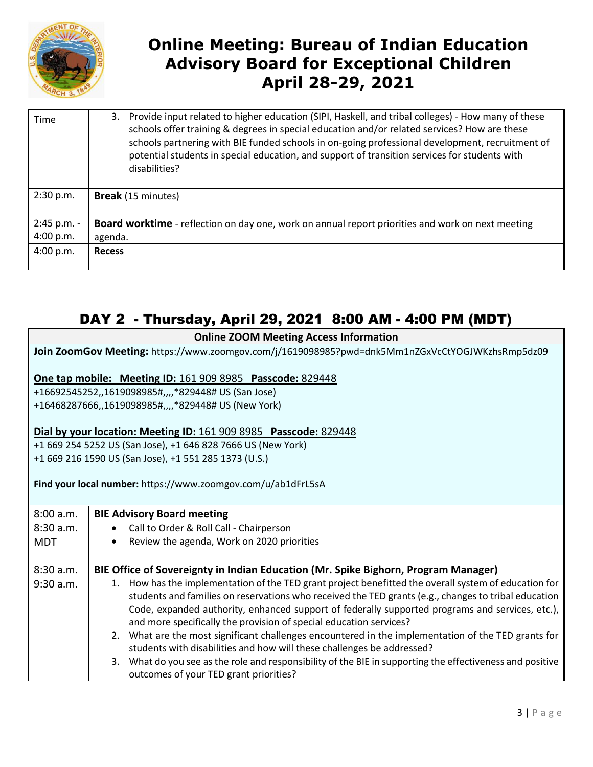

# **Online Meeting: Bureau of Indian Education Advisory Board for Exceptional Children April 28-29, 2021**

| Time        | Provide input related to higher education (SIPI, Haskell, and tribal colleges) - How many of these<br>3.<br>schools offer training & degrees in special education and/or related services? How are these<br>schools partnering with BIE funded schools in on-going professional development, recruitment of<br>potential students in special education, and support of transition services for students with<br>disabilities? |
|-------------|-------------------------------------------------------------------------------------------------------------------------------------------------------------------------------------------------------------------------------------------------------------------------------------------------------------------------------------------------------------------------------------------------------------------------------|
| 2:30 p.m.   | <b>Break</b> (15 minutes)                                                                                                                                                                                                                                                                                                                                                                                                     |
| 2:45 p.m. - | <b>Board worktime</b> - reflection on day one, work on annual report priorities and work on next meeting                                                                                                                                                                                                                                                                                                                      |
| 4:00 p.m.   | agenda.                                                                                                                                                                                                                                                                                                                                                                                                                       |
| 4:00 p.m.   | <b>Recess</b>                                                                                                                                                                                                                                                                                                                                                                                                                 |
|             |                                                                                                                                                                                                                                                                                                                                                                                                                               |

#### DAY 2 - Thursday, April 29, 2021 8:00 AM - 4:00 PM (MDT)

| <b>Online ZOOM Meeting Access Information</b>                                                   |                                                                                                           |  |  |
|-------------------------------------------------------------------------------------------------|-----------------------------------------------------------------------------------------------------------|--|--|
| Join ZoomGov Meeting: https://www.zoomgov.com/j/1619098985?pwd=dnk5Mm1nZGxVcCtYOGJWKzhsRmp5dz09 |                                                                                                           |  |  |
|                                                                                                 |                                                                                                           |  |  |
| One tap mobile: Meeting ID: 161 909 8985 Passcode: 829448                                       |                                                                                                           |  |  |
|                                                                                                 | +16692545252,,1619098985#,,,,*829448# US (San Jose)                                                       |  |  |
| +16468287666,,1619098985#,,,,*829448# US (New York)                                             |                                                                                                           |  |  |
|                                                                                                 |                                                                                                           |  |  |
| Dial by your location: Meeting ID: 161 909 8985 Passcode: 829448                                |                                                                                                           |  |  |
| +1 669 254 5252 US (San Jose), +1 646 828 7666 US (New York)                                    |                                                                                                           |  |  |
| +1 669 216 1590 US (San Jose), +1 551 285 1373 (U.S.)                                           |                                                                                                           |  |  |
|                                                                                                 | Find your local number: https://www.zoomgov.com/u/ab1dFrL5sA                                              |  |  |
|                                                                                                 |                                                                                                           |  |  |
| 8:00 a.m.                                                                                       | <b>BIE Advisory Board meeting</b>                                                                         |  |  |
| 8:30 a.m.                                                                                       | Call to Order & Roll Call - Chairperson                                                                   |  |  |
| <b>MDT</b>                                                                                      | Review the agenda, Work on 2020 priorities                                                                |  |  |
|                                                                                                 |                                                                                                           |  |  |
| 8:30a.m.                                                                                        | BIE Office of Sovereignty in Indian Education (Mr. Spike Bighorn, Program Manager)                        |  |  |
| $9:30$ a.m.                                                                                     | 1. How has the implementation of the TED grant project benefitted the overall system of education for     |  |  |
|                                                                                                 | students and families on reservations who received the TED grants (e.g., changes to tribal education      |  |  |
|                                                                                                 | Code, expanded authority, enhanced support of federally supported programs and services, etc.),           |  |  |
|                                                                                                 | and more specifically the provision of special education services?                                        |  |  |
|                                                                                                 | 2. What are the most significant challenges encountered in the implementation of the TED grants for       |  |  |
|                                                                                                 | students with disabilities and how will these challenges be addressed?                                    |  |  |
|                                                                                                 | 3. What do you see as the role and responsibility of the BIE in supporting the effectiveness and positive |  |  |
|                                                                                                 | outcomes of your TED grant priorities?                                                                    |  |  |